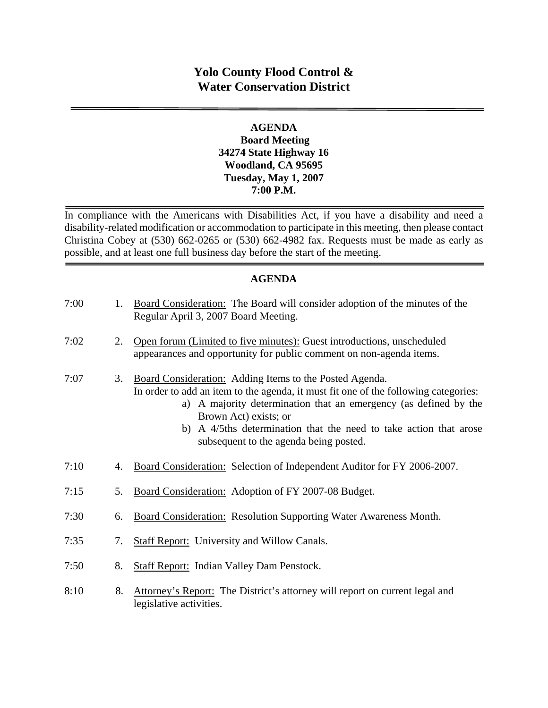# **Yolo County Flood Control & Water Conservation District**

### **AGENDA Board Meeting 34274 State Highway 16 Woodland, CA 95695 Tuesday, May 1, 2007 7:00 P.M.**

In compliance with the Americans with Disabilities Act, if you have a disability and need a disability-related modification or accommodation to participate in this meeting, then please contact Christina Cobey at (530) 662-0265 or (530) 662-4982 fax. Requests must be made as early as possible, and at least one full business day before the start of the meeting.

### **AGENDA**

| 7:00 | 1. | Board Consideration: The Board will consider adoption of the minutes of the<br>Regular April 3, 2007 Board Meeting.                                                                                                                                                                                                                                        |
|------|----|------------------------------------------------------------------------------------------------------------------------------------------------------------------------------------------------------------------------------------------------------------------------------------------------------------------------------------------------------------|
| 7:02 | 2. | Open forum (Limited to five minutes): Guest introductions, unscheduled<br>appearances and opportunity for public comment on non-agenda items.                                                                                                                                                                                                              |
| 7:07 | 3. | Board Consideration: Adding Items to the Posted Agenda.<br>In order to add an item to the agenda, it must fit one of the following categories:<br>a) A majority determination that an emergency (as defined by the<br>Brown Act) exists; or<br>b) A 4/5ths determination that the need to take action that arose<br>subsequent to the agenda being posted. |
| 7:10 | 4. | Board Consideration: Selection of Independent Auditor for FY 2006-2007.                                                                                                                                                                                                                                                                                    |
| 7:15 | 5. | Board Consideration: Adoption of FY 2007-08 Budget.                                                                                                                                                                                                                                                                                                        |
| 7:30 | 6. | <b>Board Consideration: Resolution Supporting Water Awareness Month.</b>                                                                                                                                                                                                                                                                                   |
| 7:35 | 7. | <b>Staff Report:</b> University and Willow Canals.                                                                                                                                                                                                                                                                                                         |
| 7:50 | 8. | Staff Report: Indian Valley Dam Penstock.                                                                                                                                                                                                                                                                                                                  |
| 8:10 | 8. | Attorney's Report: The District's attorney will report on current legal and<br>legislative activities.                                                                                                                                                                                                                                                     |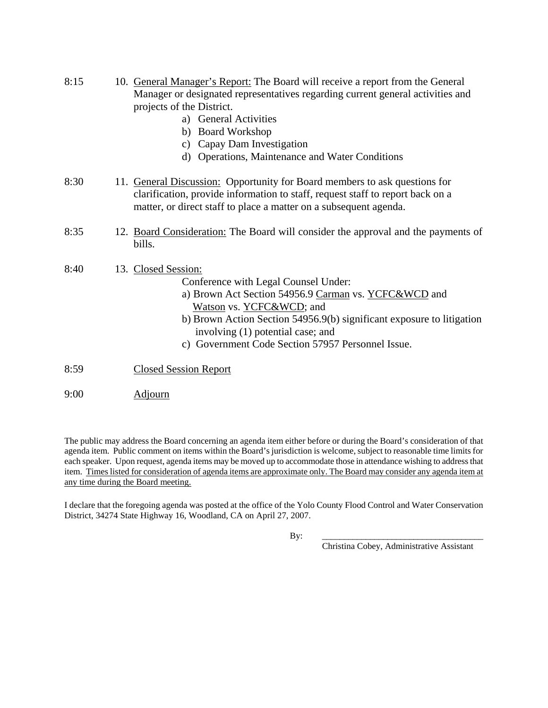| 8:15 | 10. General Manager's Report: The Board will receive a report from the General |
|------|--------------------------------------------------------------------------------|
|      | Manager or designated representatives regarding current general activities and |
|      | projects of the District.                                                      |

- a) General Activities
- b) Board Workshop
- c) Capay Dam Investigation
- d) Operations, Maintenance and Water Conditions
- 8:30 11. General Discussion: Opportunity for Board members to ask questions for clarification, provide information to staff, request staff to report back on a matter, or direct staff to place a matter on a subsequent agenda.
- 8:35 12. Board Consideration: The Board will consider the approval and the payments of bills.

#### 8:40 13. Closed Session:

- Conference with Legal Counsel Under:
- a) Brown Act Section 54956.9 Carman vs. YCFC&WCD and Watson vs. YCFC&WCD; and
- b) Brown Action Section 54956.9(b) significant exposure to litigation involving (1) potential case; and
- c) Government Code Section 57957 Personnel Issue.
- 8:59 Closed Session Report

#### 9:00 Adjourn

The public may address the Board concerning an agenda item either before or during the Board's consideration of that agenda item. Public comment on items within the Board's jurisdiction is welcome, subject to reasonable time limits for each speaker. Upon request, agenda items may be moved up to accommodate those in attendance wishing to address that item. Times listed for consideration of agenda items are approximate only. The Board may consider any agenda item at any time during the Board meeting.

I declare that the foregoing agenda was posted at the office of the Yolo County Flood Control and Water Conservation District, 34274 State Highway 16, Woodland, CA on April 27, 2007.

By: \_\_\_\_\_\_\_\_\_\_\_\_\_\_\_\_\_\_\_\_\_\_\_\_\_\_\_\_\_\_\_\_\_\_\_\_\_

Christina Cobey, Administrative Assistant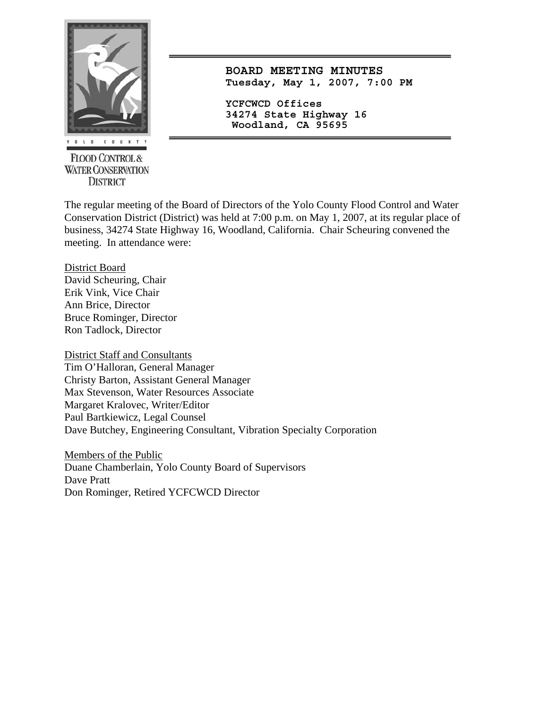

**FLOOD CONTROL & WATER CONSERVATION DISTRICT** 

**BOARD MEETING MINUTES Tuesday, May 1, 2007, 7:00 PM**

**YCFCWCD Offices 34274 State Highway 16 Woodland, CA 95695** 

The regular meeting of the Board of Directors of the Yolo County Flood Control and Water Conservation District (District) was held at 7:00 p.m. on May 1, 2007, at its regular place of business, 34274 State Highway 16, Woodland, California. Chair Scheuring convened the meeting. In attendance were:

District Board David Scheuring, Chair Erik Vink, Vice Chair Ann Brice, Director Bruce Rominger, Director Ron Tadlock, Director

District Staff and Consultants Tim O'Halloran, General Manager Christy Barton, Assistant General Manager Max Stevenson, Water Resources Associate Margaret Kralovec, Writer/Editor Paul Bartkiewicz, Legal Counsel Dave Butchey, Engineering Consultant, Vibration Specialty Corporation

Members of the Public Duane Chamberlain, Yolo County Board of Supervisors Dave Pratt Don Rominger, Retired YCFCWCD Director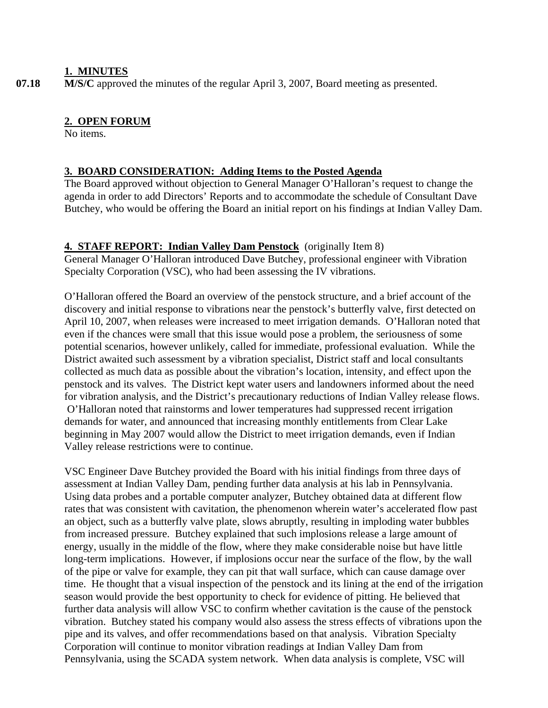### **1. MINUTES**

**07.18** M/S/C approved the minutes of the regular April 3, 2007, Board meeting as presented.

# **2. OPEN FORUM**

No items.

# **3. BOARD CONSIDERATION: Adding Items to the Posted Agenda**

The Board approved without objection to General Manager O'Halloran's request to change the agenda in order to add Directors' Reports and to accommodate the schedule of Consultant Dave Butchey, who would be offering the Board an initial report on his findings at Indian Valley Dam.

# **4. STAFF REPORT: Indian Valley Dam Penstock** (originally Item 8)

General Manager O'Halloran introduced Dave Butchey, professional engineer with Vibration Specialty Corporation (VSC), who had been assessing the IV vibrations.

O'Halloran offered the Board an overview of the penstock structure, and a brief account of the discovery and initial response to vibrations near the penstock's butterfly valve, first detected on April 10, 2007, when releases were increased to meet irrigation demands. O'Halloran noted that even if the chances were small that this issue would pose a problem, the seriousness of some potential scenarios, however unlikely, called for immediate, professional evaluation. While the District awaited such assessment by a vibration specialist, District staff and local consultants collected as much data as possible about the vibration's location, intensity, and effect upon the penstock and its valves. The District kept water users and landowners informed about the need for vibration analysis, and the District's precautionary reductions of Indian Valley release flows. O'Halloran noted that rainstorms and lower temperatures had suppressed recent irrigation demands for water, and announced that increasing monthly entitlements from Clear Lake beginning in May 2007 would allow the District to meet irrigation demands, even if Indian Valley release restrictions were to continue.

VSC Engineer Dave Butchey provided the Board with his initial findings from three days of assessment at Indian Valley Dam, pending further data analysis at his lab in Pennsylvania. Using data probes and a portable computer analyzer, Butchey obtained data at different flow rates that was consistent with cavitation, the phenomenon wherein water's accelerated flow past an object, such as a butterfly valve plate, slows abruptly, resulting in imploding water bubbles from increased pressure. Butchey explained that such implosions release a large amount of energy, usually in the middle of the flow, where they make considerable noise but have little long-term implications. However, if implosions occur near the surface of the flow, by the wall of the pipe or valve for example, they can pit that wall surface, which can cause damage over time. He thought that a visual inspection of the penstock and its lining at the end of the irrigation season would provide the best opportunity to check for evidence of pitting. He believed that further data analysis will allow VSC to confirm whether cavitation is the cause of the penstock vibration. Butchey stated his company would also assess the stress effects of vibrations upon the pipe and its valves, and offer recommendations based on that analysis. Vibration Specialty Corporation will continue to monitor vibration readings at Indian Valley Dam from Pennsylvania, using the SCADA system network. When data analysis is complete, VSC will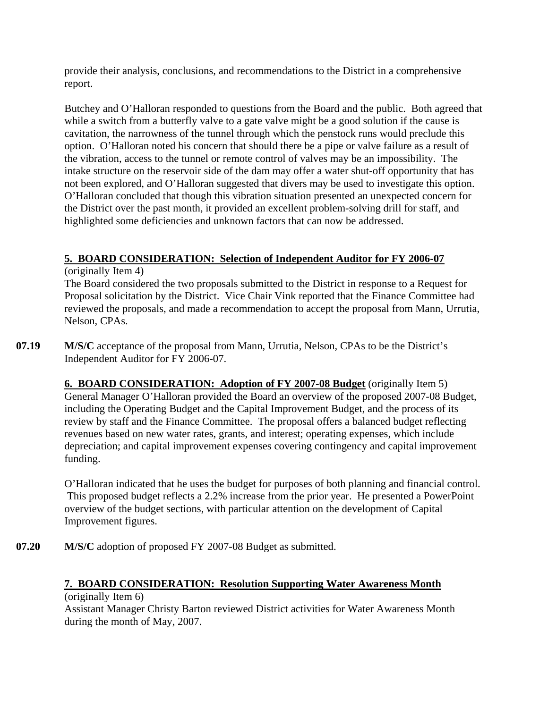provide their analysis, conclusions, and recommendations to the District in a comprehensive report.

Butchey and O'Halloran responded to questions from the Board and the public. Both agreed that while a switch from a butterfly valve to a gate valve might be a good solution if the cause is cavitation, the narrowness of the tunnel through which the penstock runs would preclude this option. O'Halloran noted his concern that should there be a pipe or valve failure as a result of the vibration, access to the tunnel or remote control of valves may be an impossibility. The intake structure on the reservoir side of the dam may offer a water shut-off opportunity that has not been explored, and O'Halloran suggested that divers may be used to investigate this option. O'Halloran concluded that though this vibration situation presented an unexpected concern for the District over the past month, it provided an excellent problem-solving drill for staff, and highlighted some deficiencies and unknown factors that can now be addressed.

# **5. BOARD CONSIDERATION: Selection of Independent Auditor for FY 2006-07**

(originally Item 4)

The Board considered the two proposals submitted to the District in response to a Request for Proposal solicitation by the District. Vice Chair Vink reported that the Finance Committee had reviewed the proposals, and made a recommendation to accept the proposal from Mann, Urrutia, Nelson, CPAs.

**07.19 M/S/C** acceptance of the proposal from Mann, Urrutia, Nelson, CPAs to be the District's Independent Auditor for FY 2006-07.

> **6. BOARD CONSIDERATION: Adoption of FY 2007-08 Budget** (originally Item 5) General Manager O'Halloran provided the Board an overview of the proposed 2007-08 Budget, including the Operating Budget and the Capital Improvement Budget, and the process of its review by staff and the Finance Committee. The proposal offers a balanced budget reflecting revenues based on new water rates, grants, and interest; operating expenses, which include depreciation; and capital improvement expenses covering contingency and capital improvement funding.

> O'Halloran indicated that he uses the budget for purposes of both planning and financial control. This proposed budget reflects a 2.2% increase from the prior year. He presented a PowerPoint overview of the budget sections, with particular attention on the development of Capital Improvement figures.

**07.20 M/S/C** adoption of proposed FY 2007-08 Budget as submitted.

### **7. BOARD CONSIDERATION: Resolution Supporting Water Awareness Month** (originally Item 6)

Assistant Manager Christy Barton reviewed District activities for Water Awareness Month during the month of May, 2007.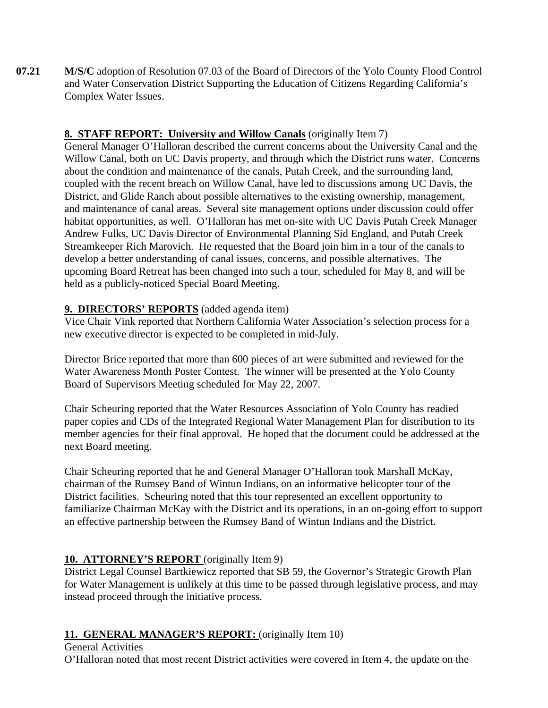**07.21 M/S/C** adoption of Resolution 07.03 of the Board of Directors of the Yolo County Flood Control and Water Conservation District Supporting the Education of Citizens Regarding California's Complex Water Issues.

# **8. STAFF REPORT: University and Willow Canals** (originally Item 7)

General Manager O'Halloran described the current concerns about the University Canal and the Willow Canal, both on UC Davis property, and through which the District runs water. Concerns about the condition and maintenance of the canals, Putah Creek, and the surrounding land, coupled with the recent breach on Willow Canal, have led to discussions among UC Davis, the District, and Glide Ranch about possible alternatives to the existing ownership, management, and maintenance of canal areas. Several site management options under discussion could offer habitat opportunities, as well. O'Halloran has met on-site with UC Davis Putah Creek Manager Andrew Fulks, UC Davis Director of Environmental Planning Sid England, and Putah Creek Streamkeeper Rich Marovich. He requested that the Board join him in a tour of the canals to develop a better understanding of canal issues, concerns, and possible alternatives. The upcoming Board Retreat has been changed into such a tour, scheduled for May 8, and will be held as a publicly-noticed Special Board Meeting.

# **9. DIRECTORS' REPORTS** (added agenda item)

Vice Chair Vink reported that Northern California Water Association's selection process for a new executive director is expected to be completed in mid-July.

Director Brice reported that more than 600 pieces of art were submitted and reviewed for the Water Awareness Month Poster Contest. The winner will be presented at the Yolo County Board of Supervisors Meeting scheduled for May 22, 2007.

Chair Scheuring reported that the Water Resources Association of Yolo County has readied paper copies and CDs of the Integrated Regional Water Management Plan for distribution to its member agencies for their final approval. He hoped that the document could be addressed at the next Board meeting.

Chair Scheuring reported that he and General Manager O'Halloran took Marshall McKay, chairman of the Rumsey Band of Wintun Indians, on an informative helicopter tour of the District facilities. Scheuring noted that this tour represented an excellent opportunity to familiarize Chairman McKay with the District and its operations, in an on-going effort to support an effective partnership between the Rumsey Band of Wintun Indians and the District.

### **10. ATTORNEY'S REPORT** (originally Item 9)

District Legal Counsel Bartkiewicz reported that SB 59, the Governor's Strategic Growth Plan for Water Management is unlikely at this time to be passed through legislative process, and may instead proceed through the initiative process.

# **11. GENERAL MANAGER'S REPORT:** (originally Item 10)

General Activities

O'Halloran noted that most recent District activities were covered in Item 4, the update on the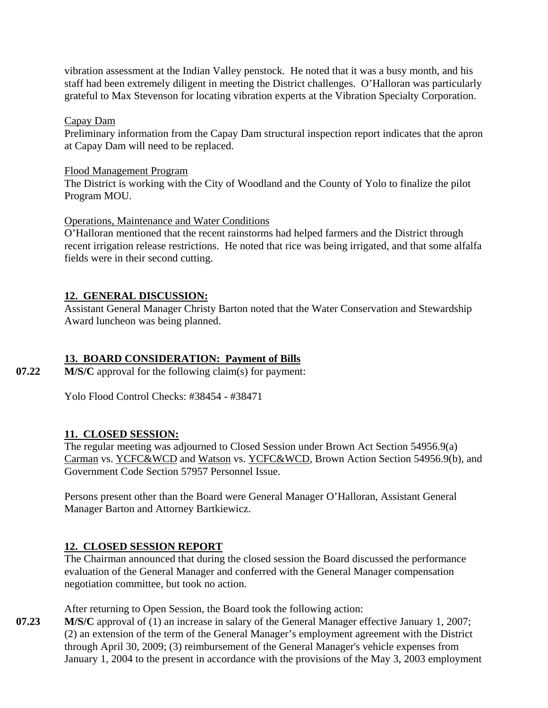vibration assessment at the Indian Valley penstock. He noted that it was a busy month, and his staff had been extremely diligent in meeting the District challenges. O'Halloran was particularly grateful to Max Stevenson for locating vibration experts at the Vibration Specialty Corporation.

#### Capay Dam

Preliminary information from the Capay Dam structural inspection report indicates that the apron at Capay Dam will need to be replaced.

#### Flood Management Program

The District is working with the City of Woodland and the County of Yolo to finalize the pilot Program MOU.

### Operations, Maintenance and Water Conditions

O'Halloran mentioned that the recent rainstorms had helped farmers and the District through recent irrigation release restrictions. He noted that rice was being irrigated, and that some alfalfa fields were in their second cutting.

### **12. GENERAL DISCUSSION:**

Assistant General Manager Christy Barton noted that the Water Conservation and Stewardship Award luncheon was being planned.

### **13. BOARD CONSIDERATION: Payment of Bills**

**07.22 M/S/C** approval for the following claim(s) for payment:

Yolo Flood Control Checks: #38454 - #38471

### **11. CLOSED SESSION:**

The regular meeting was adjourned to Closed Session under Brown Act Section 54956.9(a) Carman vs. YCFC&WCD and Watson vs. YCFC&WCD, Brown Action Section 54956.9(b), and Government Code Section 57957 Personnel Issue.

Persons present other than the Board were General Manager O'Halloran, Assistant General Manager Barton and Attorney Bartkiewicz.

### **12. CLOSED SESSION REPORT**

The Chairman announced that during the closed session the Board discussed the performance evaluation of the General Manager and conferred with the General Manager compensation negotiation committee, but took no action.

After returning to Open Session, the Board took the following action:

**07.23 M/S/C** approval of (1) an increase in salary of the General Manager effective January 1, 2007; (2) an extension of the term of the General Manager's employment agreement with the District through April 30, 2009; (3) reimbursement of the General Manager's vehicle expenses from January 1, 2004 to the present in accordance with the provisions of the May 3, 2003 employment